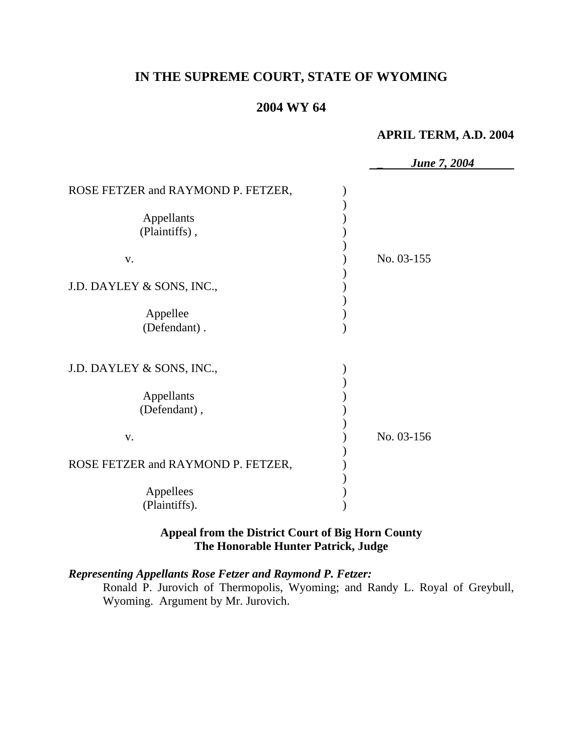# **IN THE SUPREME COURT, STATE OF WYOMING**

## **2004 WY 64**

### **APRIL TERM, A.D. 2004**

|                                                                                                                                   | <b>June 7, 2004</b> |
|-----------------------------------------------------------------------------------------------------------------------------------|---------------------|
| ROSE FETZER and RAYMOND P. FETZER,<br>Appellants<br>(Plaintiffs),<br>V.<br>J.D. DAYLEY & SONS, INC.,<br>Appellee<br>(Defendant).  | No. 03-155          |
| J.D. DAYLEY & SONS, INC.,<br>Appellants<br>(Defendant),<br>V.<br>ROSE FETZER and RAYMOND P. FETZER,<br>Appellees<br>(Plaintiffs). | No. 03-156          |

## **Appeal from the District Court of Big Horn County The Honorable Hunter Patrick, Judge**

#### *Representing Appellants Rose Fetzer and Raymond P. Fetzer:*

Ronald P. Jurovich of Thermopolis, Wyoming; and Randy L. Royal of Greybull, Wyoming. Argument by Mr. Jurovich.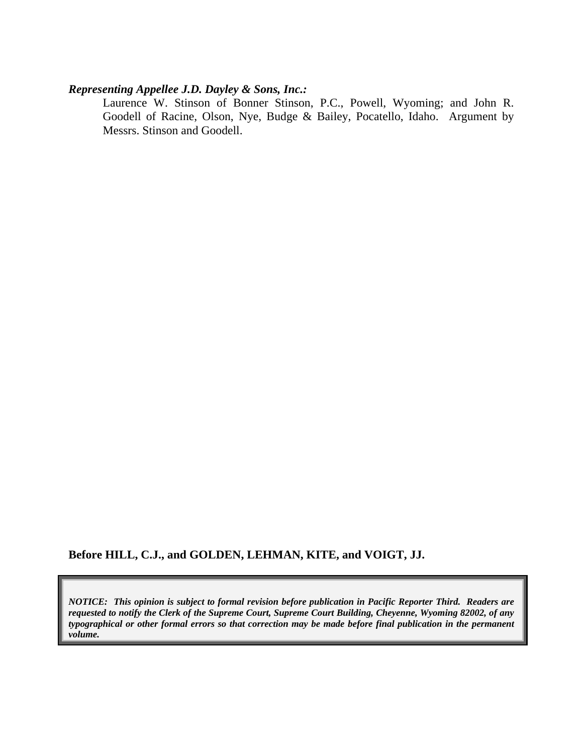#### *Representing Appellee J.D. Dayley & Sons, Inc.:*

Laurence W. Stinson of Bonner Stinson, P.C., Powell, Wyoming; and John R. Goodell of Racine, Olson, Nye, Budge & Bailey, Pocatello, Idaho. Argument by Messrs. Stinson and Goodell.

#### **Before HILL, C.J., and GOLDEN, LEHMAN, KITE, and VOIGT, JJ.**

*NOTICE: This opinion is subject to formal revision before publication in Pacific Reporter Third. Readers are requested to notify the Clerk of the Supreme Court, Supreme Court Building, Cheyenne, Wyoming 82002, of any typographical or other formal errors so that correction may be made before final publication in the permanent volume.*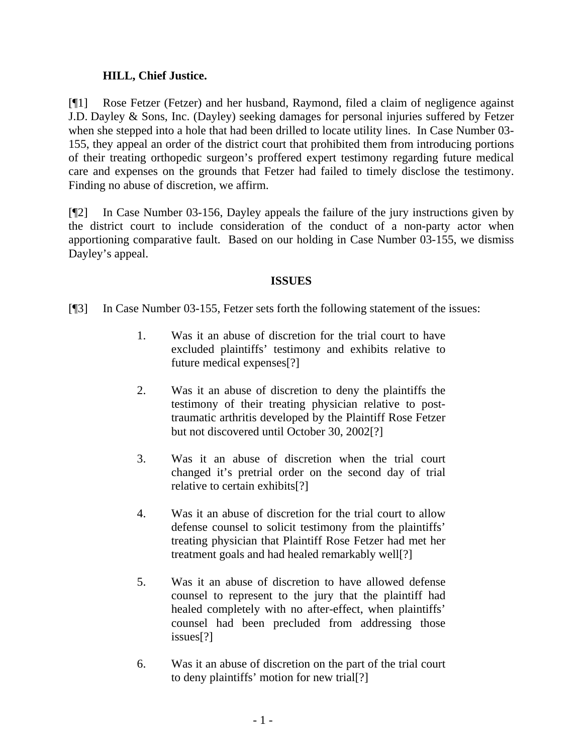### **HILL, Chief Justice.**

[¶1] Rose Fetzer (Fetzer) and her husband, Raymond, filed a claim of negligence against J.D. Dayley & Sons, Inc. (Dayley) seeking damages for personal injuries suffered by Fetzer when she stepped into a hole that had been drilled to locate utility lines. In Case Number 03- 155, they appeal an order of the district court that prohibited them from introducing portions of their treating orthopedic surgeon's proffered expert testimony regarding future medical care and expenses on the grounds that Fetzer had failed to timely disclose the testimony. Finding no abuse of discretion, we affirm.

[¶2] In Case Number 03-156, Dayley appeals the failure of the jury instructions given by the district court to include consideration of the conduct of a non-party actor when apportioning comparative fault. Based on our holding in Case Number 03-155, we dismiss Dayley's appeal.

#### **ISSUES**

[¶3] In Case Number 03-155, Fetzer sets forth the following statement of the issues:

- 1. Was it an abuse of discretion for the trial court to have excluded plaintiffs' testimony and exhibits relative to future medical expenses[?]
- 2. Was it an abuse of discretion to deny the plaintiffs the testimony of their treating physician relative to posttraumatic arthritis developed by the Plaintiff Rose Fetzer but not discovered until October 30, 2002[?]
- 3. Was it an abuse of discretion when the trial court changed it's pretrial order on the second day of trial relative to certain exhibits[?]
- 4. Was it an abuse of discretion for the trial court to allow defense counsel to solicit testimony from the plaintiffs' treating physician that Plaintiff Rose Fetzer had met her treatment goals and had healed remarkably well[?]
- 5. Was it an abuse of discretion to have allowed defense counsel to represent to the jury that the plaintiff had healed completely with no after-effect, when plaintiffs' counsel had been precluded from addressing those issues[?]
- 6. Was it an abuse of discretion on the part of the trial court to deny plaintiffs' motion for new trial[?]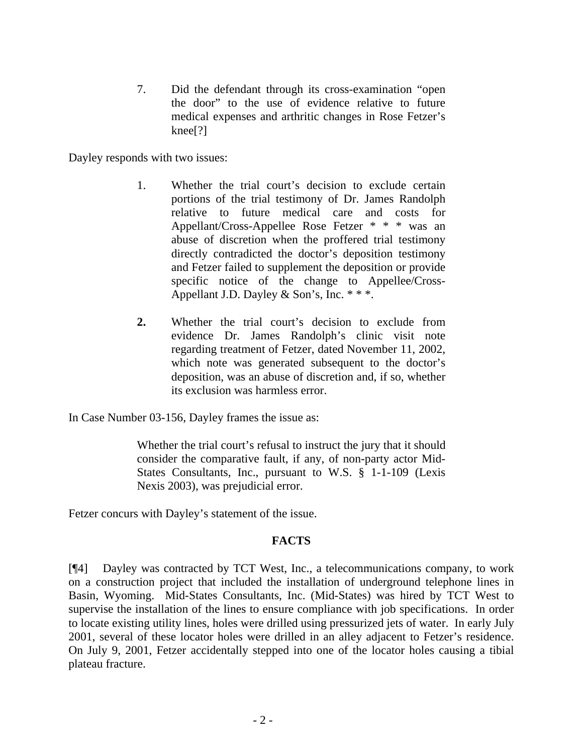7. Did the defendant through its cross-examination "open the door" to the use of evidence relative to future medical expenses and arthritic changes in Rose Fetzer's knee[?]

Dayley responds with two issues:

- 1. Whether the trial court's decision to exclude certain portions of the trial testimony of Dr. James Randolph relative to future medical care and costs for Appellant/Cross-Appellee Rose Fetzer \* \* \* was an abuse of discretion when the proffered trial testimony directly contradicted the doctor's deposition testimony and Fetzer failed to supplement the deposition or provide specific notice of the change to Appellee/Cross-Appellant J.D. Dayley & Son's, Inc. \* \* \*.
- **2.** Whether the trial court's decision to exclude from evidence Dr. James Randolph's clinic visit note regarding treatment of Fetzer, dated November 11, 2002, which note was generated subsequent to the doctor's deposition, was an abuse of discretion and, if so, whether its exclusion was harmless error.

In Case Number 03-156, Dayley frames the issue as:

Whether the trial court's refusal to instruct the jury that it should consider the comparative fault, if any, of non-party actor Mid-States Consultants, Inc., pursuant to W.S. § 1-1-109 (Lexis Nexis 2003), was prejudicial error.

Fetzer concurs with Dayley's statement of the issue.

#### **FACTS**

[¶4] Dayley was contracted by TCT West, Inc., a telecommunications company, to work on a construction project that included the installation of underground telephone lines in Basin, Wyoming. Mid-States Consultants, Inc. (Mid-States) was hired by TCT West to supervise the installation of the lines to ensure compliance with job specifications. In order to locate existing utility lines, holes were drilled using pressurized jets of water. In early July 2001, several of these locator holes were drilled in an alley adjacent to Fetzer's residence. On July 9, 2001, Fetzer accidentally stepped into one of the locator holes causing a tibial plateau fracture.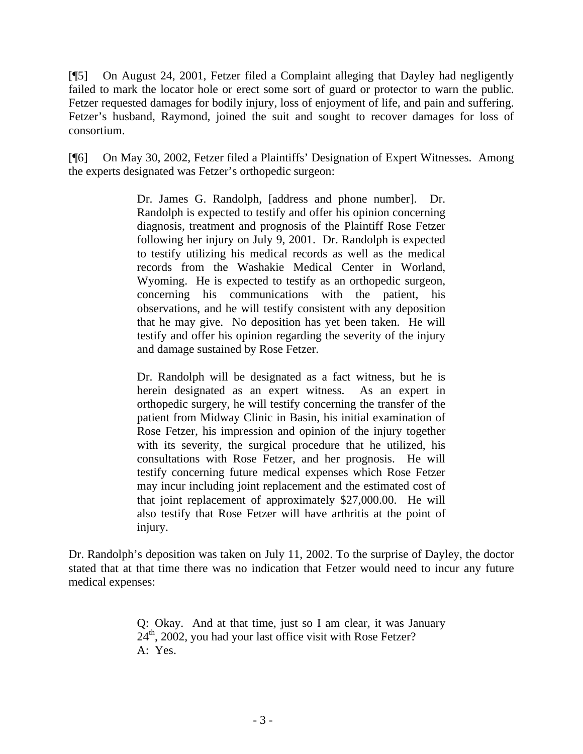[¶5] On August 24, 2001, Fetzer filed a Complaint alleging that Dayley had negligently failed to mark the locator hole or erect some sort of guard or protector to warn the public. Fetzer requested damages for bodily injury, loss of enjoyment of life, and pain and suffering. Fetzer's husband, Raymond, joined the suit and sought to recover damages for loss of consortium.

[¶6] On May 30, 2002, Fetzer filed a Plaintiffs' Designation of Expert Witnesses. Among the experts designated was Fetzer's orthopedic surgeon:

> Dr. James G. Randolph, [address and phone number]. Dr. Randolph is expected to testify and offer his opinion concerning diagnosis, treatment and prognosis of the Plaintiff Rose Fetzer following her injury on July 9, 2001. Dr. Randolph is expected to testify utilizing his medical records as well as the medical records from the Washakie Medical Center in Worland, Wyoming. He is expected to testify as an orthopedic surgeon, concerning his communications with the patient, his observations, and he will testify consistent with any deposition that he may give. No deposition has yet been taken. He will testify and offer his opinion regarding the severity of the injury and damage sustained by Rose Fetzer.

> Dr. Randolph will be designated as a fact witness, but he is herein designated as an expert witness. As an expert in orthopedic surgery, he will testify concerning the transfer of the patient from Midway Clinic in Basin, his initial examination of Rose Fetzer, his impression and opinion of the injury together with its severity, the surgical procedure that he utilized, his consultations with Rose Fetzer, and her prognosis. He will testify concerning future medical expenses which Rose Fetzer may incur including joint replacement and the estimated cost of that joint replacement of approximately \$27,000.00. He will also testify that Rose Fetzer will have arthritis at the point of injury.

Dr. Randolph's deposition was taken on July 11, 2002. To the surprise of Dayley, the doctor stated that at that time there was no indication that Fetzer would need to incur any future medical expenses:

> Q: Okay. And at that time, just so I am clear, it was January 24<sup>th</sup>, 2002, you had your last office visit with Rose Fetzer? A: Yes.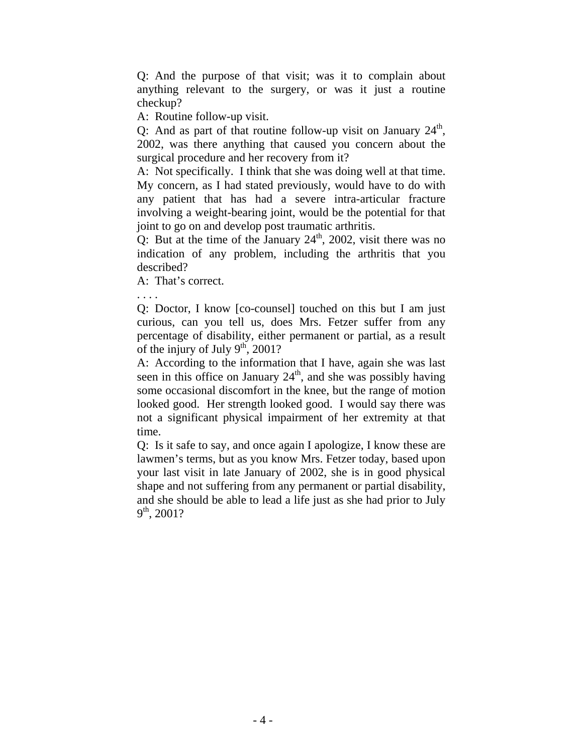Q: And the purpose of that visit; was it to complain about anything relevant to the surgery, or was it just a routine checkup?

A: Routine follow-up visit.

Q: And as part of that routine follow-up visit on January  $24^{\text{th}}$ , 2002, was there anything that caused you concern about the surgical procedure and her recovery from it?

A: Not specifically. I think that she was doing well at that time. My concern, as I had stated previously, would have to do with any patient that has had a severe intra-articular fracture involving a weight-bearing joint, would be the potential for that joint to go on and develop post traumatic arthritis.

Q: But at the time of the January  $24<sup>th</sup>$ , 2002, visit there was no indication of any problem, including the arthritis that you described?

A: That's correct.

. . . .

Q: Doctor, I know [co-counsel] touched on this but I am just curious, can you tell us, does Mrs. Fetzer suffer from any percentage of disability, either permanent or partial, as a result of the injury of July  $9<sup>th</sup>$ , 2001?

A: According to the information that I have, again she was last seen in this office on January  $24<sup>th</sup>$ , and she was possibly having some occasional discomfort in the knee, but the range of motion looked good. Her strength looked good. I would say there was not a significant physical impairment of her extremity at that time.

Q: Is it safe to say, and once again I apologize, I know these are lawmen's terms, but as you know Mrs. Fetzer today, based upon your last visit in late January of 2002, she is in good physical shape and not suffering from any permanent or partial disability, and she should be able to lead a life just as she had prior to July  $9<sup>th</sup>$ , 2001?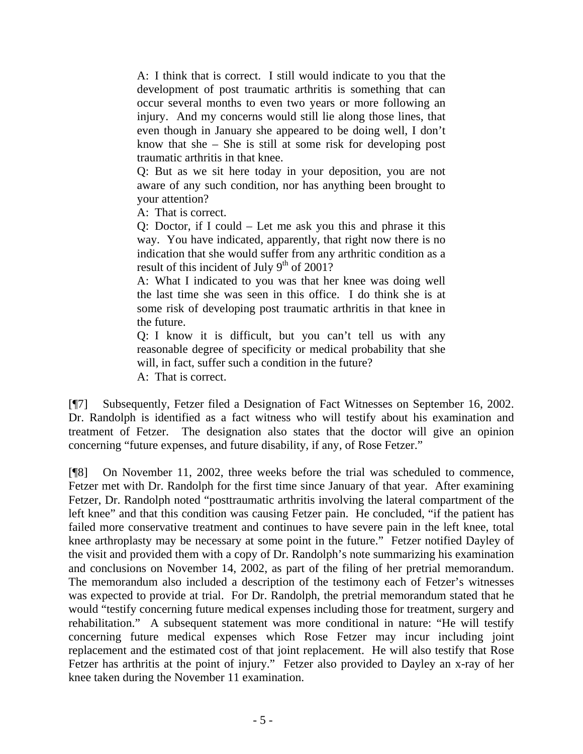A: I think that is correct. I still would indicate to you that the development of post traumatic arthritis is something that can occur several months to even two years or more following an injury. And my concerns would still lie along those lines, that even though in January she appeared to be doing well, I don't know that she – She is still at some risk for developing post traumatic arthritis in that knee.

Q: But as we sit here today in your deposition, you are not aware of any such condition, nor has anything been brought to your attention?

A: That is correct.

Q: Doctor, if I could – Let me ask you this and phrase it this way. You have indicated, apparently, that right now there is no indication that she would suffer from any arthritic condition as a result of this incident of July  $9<sup>th</sup>$  of 2001?

A: What I indicated to you was that her knee was doing well the last time she was seen in this office. I do think she is at some risk of developing post traumatic arthritis in that knee in the future.

Q: I know it is difficult, but you can't tell us with any reasonable degree of specificity or medical probability that she will, in fact, suffer such a condition in the future?

A: That is correct.

[¶7] Subsequently, Fetzer filed a Designation of Fact Witnesses on September 16, 2002. Dr. Randolph is identified as a fact witness who will testify about his examination and treatment of Fetzer. The designation also states that the doctor will give an opinion concerning "future expenses, and future disability, if any, of Rose Fetzer."

[¶8] On November 11, 2002, three weeks before the trial was scheduled to commence, Fetzer met with Dr. Randolph for the first time since January of that year. After examining Fetzer, Dr. Randolph noted "posttraumatic arthritis involving the lateral compartment of the left knee" and that this condition was causing Fetzer pain. He concluded, "if the patient has failed more conservative treatment and continues to have severe pain in the left knee, total knee arthroplasty may be necessary at some point in the future." Fetzer notified Dayley of the visit and provided them with a copy of Dr. Randolph's note summarizing his examination and conclusions on November 14, 2002, as part of the filing of her pretrial memorandum. The memorandum also included a description of the testimony each of Fetzer's witnesses was expected to provide at trial. For Dr. Randolph, the pretrial memorandum stated that he would "testify concerning future medical expenses including those for treatment, surgery and rehabilitation." A subsequent statement was more conditional in nature: "He will testify concerning future medical expenses which Rose Fetzer may incur including joint replacement and the estimated cost of that joint replacement. He will also testify that Rose Fetzer has arthritis at the point of injury." Fetzer also provided to Dayley an x-ray of her knee taken during the November 11 examination.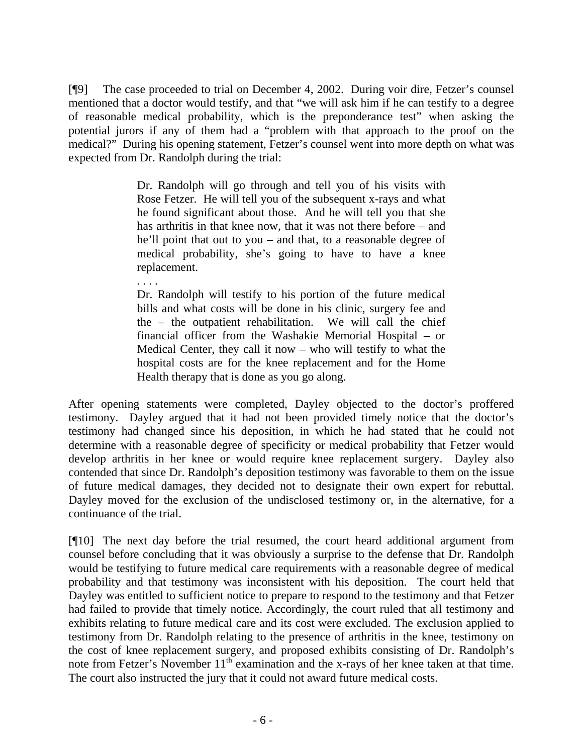[¶9] The case proceeded to trial on December 4, 2002. During voir dire, Fetzer's counsel mentioned that a doctor would testify, and that "we will ask him if he can testify to a degree of reasonable medical probability, which is the preponderance test" when asking the potential jurors if any of them had a "problem with that approach to the proof on the medical?" During his opening statement, Fetzer's counsel went into more depth on what was expected from Dr. Randolph during the trial:

> Dr. Randolph will go through and tell you of his visits with Rose Fetzer. He will tell you of the subsequent x-rays and what he found significant about those. And he will tell you that she has arthritis in that knee now, that it was not there before – and he'll point that out to you – and that, to a reasonable degree of medical probability, she's going to have to have a knee replacement.

> Dr. Randolph will testify to his portion of the future medical bills and what costs will be done in his clinic, surgery fee and the – the outpatient rehabilitation. We will call the chief financial officer from the Washakie Memorial Hospital – or Medical Center, they call it now – who will testify to what the hospital costs are for the knee replacement and for the Home Health therapy that is done as you go along.

. . . .

After opening statements were completed, Dayley objected to the doctor's proffered testimony. Dayley argued that it had not been provided timely notice that the doctor's testimony had changed since his deposition, in which he had stated that he could not determine with a reasonable degree of specificity or medical probability that Fetzer would develop arthritis in her knee or would require knee replacement surgery. Dayley also contended that since Dr. Randolph's deposition testimony was favorable to them on the issue of future medical damages, they decided not to designate their own expert for rebuttal. Dayley moved for the exclusion of the undisclosed testimony or, in the alternative, for a continuance of the trial.

[¶10] The next day before the trial resumed, the court heard additional argument from counsel before concluding that it was obviously a surprise to the defense that Dr. Randolph would be testifying to future medical care requirements with a reasonable degree of medical probability and that testimony was inconsistent with his deposition. The court held that Dayley was entitled to sufficient notice to prepare to respond to the testimony and that Fetzer had failed to provide that timely notice. Accordingly, the court ruled that all testimony and exhibits relating to future medical care and its cost were excluded. The exclusion applied to testimony from Dr. Randolph relating to the presence of arthritis in the knee, testimony on the cost of knee replacement surgery, and proposed exhibits consisting of Dr. Randolph's note from Fetzer's November 11<sup>th</sup> examination and the x-rays of her knee taken at that time. The court also instructed the jury that it could not award future medical costs.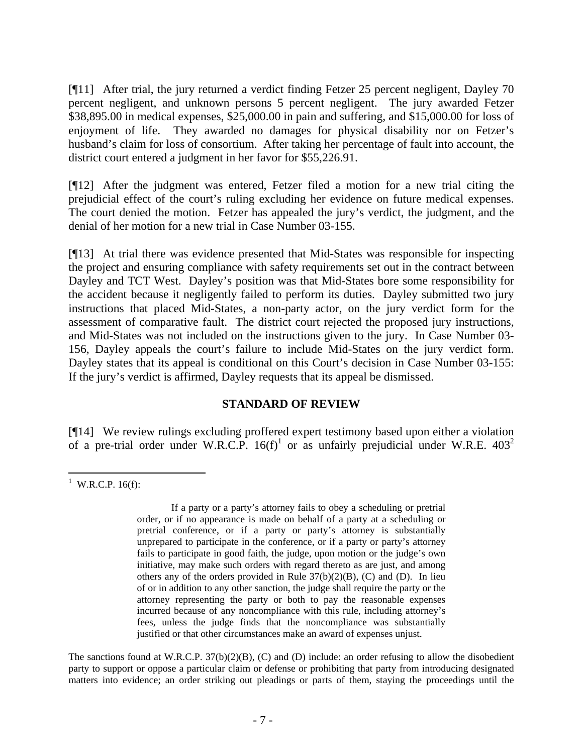[¶11] After trial, the jury returned a verdict finding Fetzer 25 percent negligent, Dayley 70 percent negligent, and unknown persons 5 percent negligent. The jury awarded Fetzer \$38,895.00 in medical expenses, \$25,000.00 in pain and suffering, and \$15,000.00 for loss of enjoyment of life. They awarded no damages for physical disability nor on Fetzer's husband's claim for loss of consortium. After taking her percentage of fault into account, the district court entered a judgment in her favor for \$55,226.91.

[¶12] After the judgment was entered, Fetzer filed a motion for a new trial citing the prejudicial effect of the court's ruling excluding her evidence on future medical expenses. The court denied the motion. Fetzer has appealed the jury's verdict, the judgment, and the denial of her motion for a new trial in Case Number 03-155.

[¶13] At trial there was evidence presented that Mid-States was responsible for inspecting the project and ensuring compliance with safety requirements set out in the contract between Dayley and TCT West. Dayley's position was that Mid-States bore some responsibility for the accident because it negligently failed to perform its duties. Dayley submitted two jury instructions that placed Mid-States, a non-party actor, on the jury verdict form for the assessment of comparative fault. The district court rejected the proposed jury instructions, and Mid-States was not included on the instructions given to the jury. In Case Number 03- 156, Dayley appeals the court's failure to include Mid-States on the jury verdict form. Dayley states that its appeal is conditional on this Court's decision in Case Number 03-155: If the jury's verdict is affirmed, Dayley requests that its appeal be dismissed.

#### **STANDARD OF REVIEW**

[¶14] We review rulings excluding proffered expert testimony based upon either a violation of a pre-trial order under W.R.C.P.  $16(f)^1$  or as unfairly prejudicial under W.R.E.  $403^2$ 

The sanctions found at W.R.C.P. 37(b)(2)(B), (C) and (D) include: an order refusing to allow the disobedient party to support or oppose a particular claim or defense or prohibiting that party from introducing designated matters into evidence; an order striking out pleadings or parts of them, staying the proceedings until the

<sup>&</sup>lt;sup>1</sup> W.R.C.P. 16(f):

If a party or a party's attorney fails to obey a scheduling or pretrial order, or if no appearance is made on behalf of a party at a scheduling or pretrial conference, or if a party or party's attorney is substantially unprepared to participate in the conference, or if a party or party's attorney fails to participate in good faith, the judge, upon motion or the judge's own initiative, may make such orders with regard thereto as are just, and among others any of the orders provided in Rule  $37(b)(2)(B)$ , (C) and (D). In lieu of or in addition to any other sanction, the judge shall require the party or the attorney representing the party or both to pay the reasonable expenses incurred because of any noncompliance with this rule, including attorney's fees, unless the judge finds that the noncompliance was substantially justified or that other circumstances make an award of expenses unjust.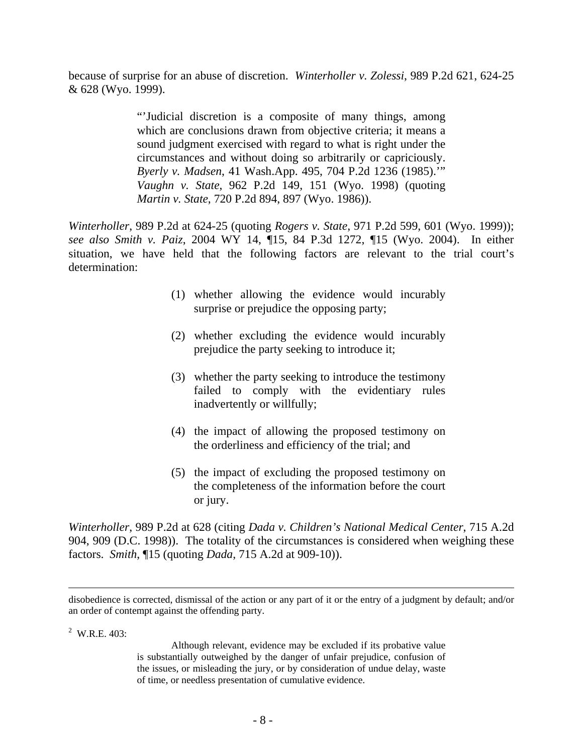because of surprise for an abuse of discretion. *Winterholler v. Zolessi*, 989 P.2d 621, 624-25 & 628 (Wyo. 1999).

> "'Judicial discretion is a composite of many things, among which are conclusions drawn from objective criteria; it means a sound judgment exercised with regard to what is right under the circumstances and without doing so arbitrarily or capriciously. *Byerly v. Madsen*, 41 Wash.App. 495, 704 P.2d 1236 (1985).'" *Vaughn v. State*, 962 P.2d 149, 151 (Wyo. 1998) (quoting *Martin v. State*, 720 P.2d 894, 897 (Wyo. 1986)).

*Winterholler*, 989 P.2d at 624-25 (quoting *Rogers v. State*, 971 P.2d 599, 601 (Wyo. 1999)); *see also Smith v. Paiz*, 2004 WY 14, ¶15, 84 P.3d 1272, ¶15 (Wyo. 2004). In either situation, we have held that the following factors are relevant to the trial court's determination:

- (1) whether allowing the evidence would incurably surprise or prejudice the opposing party;
- (2) whether excluding the evidence would incurably prejudice the party seeking to introduce it;
- (3) whether the party seeking to introduce the testimony failed to comply with the evidentiary rules inadvertently or willfully;
- (4) the impact of allowing the proposed testimony on the orderliness and efficiency of the trial; and
- (5) the impact of excluding the proposed testimony on the completeness of the information before the court or jury.

*Winterholler*, 989 P.2d at 628 (citing *Dada v. Children's National Medical Center*, 715 A.2d 904, 909 (D.C. 1998)). The totality of the circumstances is considered when weighing these factors. *Smith*, ¶15 (quoting *Dada*, 715 A.2d at 909-10)).

 $2$  W.R.E. 403:

Although relevant, evidence may be excluded if its probative value is substantially outweighed by the danger of unfair prejudice, confusion of the issues, or misleading the jury, or by consideration of undue delay, waste of time, or needless presentation of cumulative evidence.

disobedience is corrected, dismissal of the action or any part of it or the entry of a judgment by default; and/or an order of contempt against the offending party.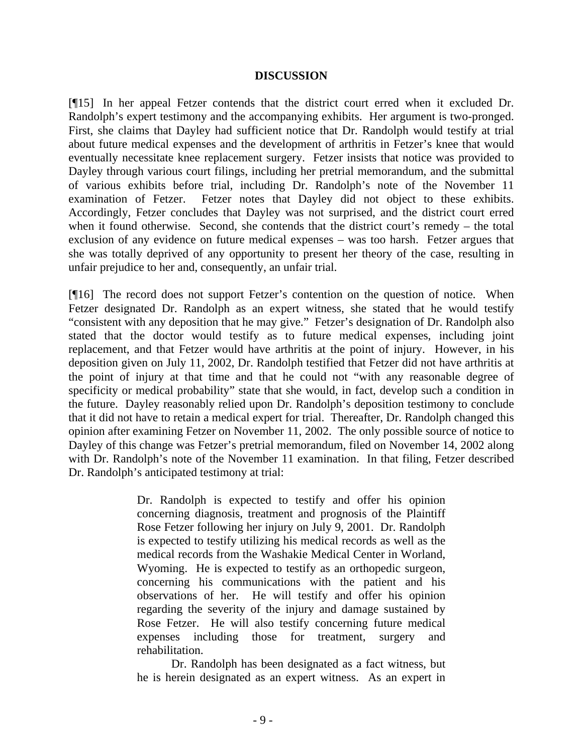#### **DISCUSSION**

[¶15] In her appeal Fetzer contends that the district court erred when it excluded Dr. Randolph's expert testimony and the accompanying exhibits. Her argument is two-pronged. First, she claims that Dayley had sufficient notice that Dr. Randolph would testify at trial about future medical expenses and the development of arthritis in Fetzer's knee that would eventually necessitate knee replacement surgery. Fetzer insists that notice was provided to Dayley through various court filings, including her pretrial memorandum, and the submittal of various exhibits before trial, including Dr. Randolph's note of the November 11 examination of Fetzer. Fetzer notes that Dayley did not object to these exhibits. Accordingly, Fetzer concludes that Dayley was not surprised, and the district court erred when it found otherwise. Second, she contends that the district court's remedy – the total exclusion of any evidence on future medical expenses – was too harsh. Fetzer argues that she was totally deprived of any opportunity to present her theory of the case, resulting in unfair prejudice to her and, consequently, an unfair trial.

[¶16] The record does not support Fetzer's contention on the question of notice. When Fetzer designated Dr. Randolph as an expert witness, she stated that he would testify "consistent with any deposition that he may give." Fetzer's designation of Dr. Randolph also stated that the doctor would testify as to future medical expenses, including joint replacement, and that Fetzer would have arthritis at the point of injury. However, in his deposition given on July 11, 2002, Dr. Randolph testified that Fetzer did not have arthritis at the point of injury at that time and that he could not "with any reasonable degree of specificity or medical probability" state that she would, in fact, develop such a condition in the future. Dayley reasonably relied upon Dr. Randolph's deposition testimony to conclude that it did not have to retain a medical expert for trial. Thereafter, Dr. Randolph changed this opinion after examining Fetzer on November 11, 2002. The only possible source of notice to Dayley of this change was Fetzer's pretrial memorandum, filed on November 14, 2002 along with Dr. Randolph's note of the November 11 examination. In that filing, Fetzer described Dr. Randolph's anticipated testimony at trial:

> Dr. Randolph is expected to testify and offer his opinion concerning diagnosis, treatment and prognosis of the Plaintiff Rose Fetzer following her injury on July 9, 2001. Dr. Randolph is expected to testify utilizing his medical records as well as the medical records from the Washakie Medical Center in Worland, Wyoming. He is expected to testify as an orthopedic surgeon, concerning his communications with the patient and his observations of her. He will testify and offer his opinion regarding the severity of the injury and damage sustained by Rose Fetzer. He will also testify concerning future medical expenses including those for treatment, surgery and rehabilitation.

> Dr. Randolph has been designated as a fact witness, but he is herein designated as an expert witness. As an expert in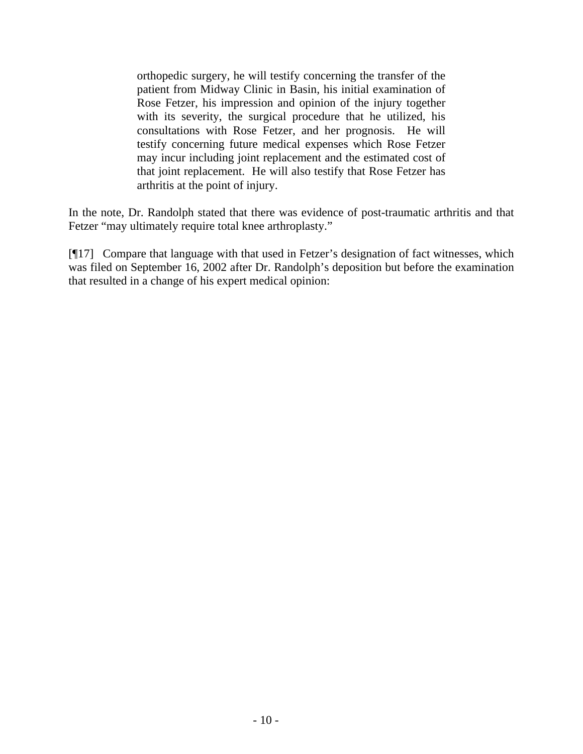orthopedic surgery, he will testify concerning the transfer of the patient from Midway Clinic in Basin, his initial examination of Rose Fetzer, his impression and opinion of the injury together with its severity, the surgical procedure that he utilized, his consultations with Rose Fetzer, and her prognosis. He will testify concerning future medical expenses which Rose Fetzer may incur including joint replacement and the estimated cost of that joint replacement. He will also testify that Rose Fetzer has arthritis at the point of injury.

In the note, Dr. Randolph stated that there was evidence of post-traumatic arthritis and that Fetzer "may ultimately require total knee arthroplasty."

[¶17] Compare that language with that used in Fetzer's designation of fact witnesses, which was filed on September 16, 2002 after Dr. Randolph's deposition but before the examination that resulted in a change of his expert medical opinion: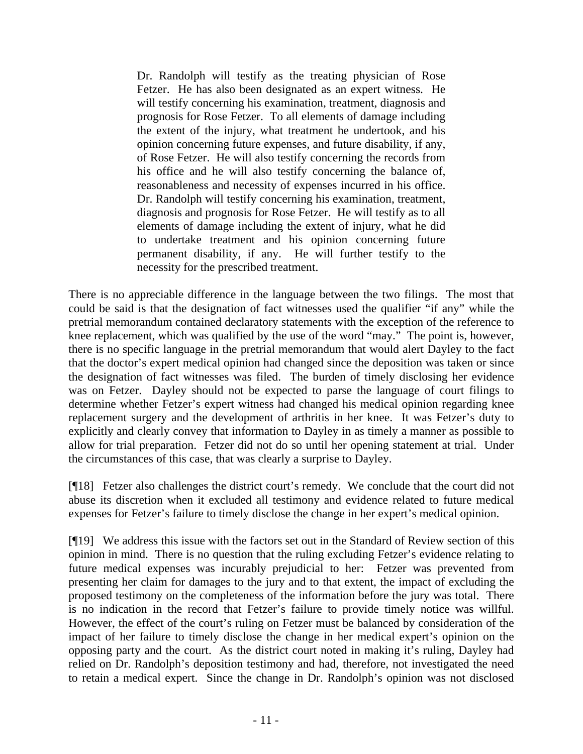Dr. Randolph will testify as the treating physician of Rose Fetzer. He has also been designated as an expert witness. He will testify concerning his examination, treatment, diagnosis and prognosis for Rose Fetzer. To all elements of damage including the extent of the injury, what treatment he undertook, and his opinion concerning future expenses, and future disability, if any, of Rose Fetzer. He will also testify concerning the records from his office and he will also testify concerning the balance of, reasonableness and necessity of expenses incurred in his office. Dr. Randolph will testify concerning his examination, treatment, diagnosis and prognosis for Rose Fetzer. He will testify as to all elements of damage including the extent of injury, what he did to undertake treatment and his opinion concerning future permanent disability, if any. He will further testify to the necessity for the prescribed treatment.

There is no appreciable difference in the language between the two filings. The most that could be said is that the designation of fact witnesses used the qualifier "if any" while the pretrial memorandum contained declaratory statements with the exception of the reference to knee replacement, which was qualified by the use of the word "may." The point is, however, there is no specific language in the pretrial memorandum that would alert Dayley to the fact that the doctor's expert medical opinion had changed since the deposition was taken or since the designation of fact witnesses was filed. The burden of timely disclosing her evidence was on Fetzer. Dayley should not be expected to parse the language of court filings to determine whether Fetzer's expert witness had changed his medical opinion regarding knee replacement surgery and the development of arthritis in her knee. It was Fetzer's duty to explicitly and clearly convey that information to Dayley in as timely a manner as possible to allow for trial preparation. Fetzer did not do so until her opening statement at trial. Under the circumstances of this case, that was clearly a surprise to Dayley.

[¶18] Fetzer also challenges the district court's remedy. We conclude that the court did not abuse its discretion when it excluded all testimony and evidence related to future medical expenses for Fetzer's failure to timely disclose the change in her expert's medical opinion.

[¶19] We address this issue with the factors set out in the Standard of Review section of this opinion in mind. There is no question that the ruling excluding Fetzer's evidence relating to future medical expenses was incurably prejudicial to her: Fetzer was prevented from presenting her claim for damages to the jury and to that extent, the impact of excluding the proposed testimony on the completeness of the information before the jury was total. There is no indication in the record that Fetzer's failure to provide timely notice was willful. However, the effect of the court's ruling on Fetzer must be balanced by consideration of the impact of her failure to timely disclose the change in her medical expert's opinion on the opposing party and the court. As the district court noted in making it's ruling, Dayley had relied on Dr. Randolph's deposition testimony and had, therefore, not investigated the need to retain a medical expert. Since the change in Dr. Randolph's opinion was not disclosed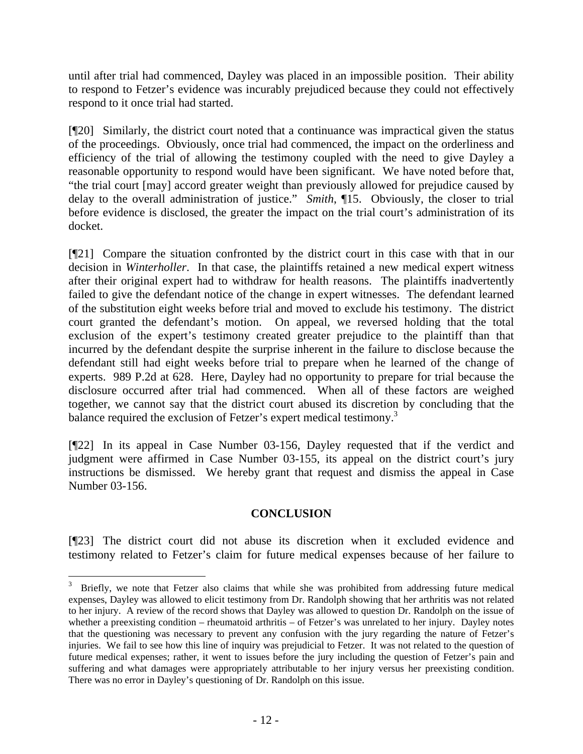until after trial had commenced, Dayley was placed in an impossible position. Their ability to respond to Fetzer's evidence was incurably prejudiced because they could not effectively respond to it once trial had started.

[¶20] Similarly, the district court noted that a continuance was impractical given the status of the proceedings. Obviously, once trial had commenced, the impact on the orderliness and efficiency of the trial of allowing the testimony coupled with the need to give Dayley a reasonable opportunity to respond would have been significant. We have noted before that, "the trial court [may] accord greater weight than previously allowed for prejudice caused by delay to the overall administration of justice." *Smith*, ¶15. Obviously, the closer to trial before evidence is disclosed, the greater the impact on the trial court's administration of its docket.

[¶21] Compare the situation confronted by the district court in this case with that in our decision in *Winterholler*. In that case, the plaintiffs retained a new medical expert witness after their original expert had to withdraw for health reasons. The plaintiffs inadvertently failed to give the defendant notice of the change in expert witnesses. The defendant learned of the substitution eight weeks before trial and moved to exclude his testimony. The district court granted the defendant's motion. On appeal, we reversed holding that the total exclusion of the expert's testimony created greater prejudice to the plaintiff than that incurred by the defendant despite the surprise inherent in the failure to disclose because the defendant still had eight weeks before trial to prepare when he learned of the change of experts. 989 P.2d at 628. Here, Dayley had no opportunity to prepare for trial because the disclosure occurred after trial had commenced. When all of these factors are weighed together, we cannot say that the district court abused its discretion by concluding that the balance required the exclusion of Fetzer's expert medical testimony.<sup>3</sup>

[¶22] In its appeal in Case Number 03-156, Dayley requested that if the verdict and judgment were affirmed in Case Number 03-155, its appeal on the district court's jury instructions be dismissed. We hereby grant that request and dismiss the appeal in Case Number 03-156.

#### **CONCLUSION**

[¶23] The district court did not abuse its discretion when it excluded evidence and testimony related to Fetzer's claim for future medical expenses because of her failure to

 $\overline{a}$ 

<sup>3</sup> Briefly, we note that Fetzer also claims that while she was prohibited from addressing future medical expenses, Dayley was allowed to elicit testimony from Dr. Randolph showing that her arthritis was not related to her injury. A review of the record shows that Dayley was allowed to question Dr. Randolph on the issue of whether a preexisting condition – rheumatoid arthritis – of Fetzer's was unrelated to her injury. Dayley notes that the questioning was necessary to prevent any confusion with the jury regarding the nature of Fetzer's injuries. We fail to see how this line of inquiry was prejudicial to Fetzer. It was not related to the question of future medical expenses; rather, it went to issues before the jury including the question of Fetzer's pain and suffering and what damages were appropriately attributable to her injury versus her preexisting condition. There was no error in Dayley's questioning of Dr. Randolph on this issue.